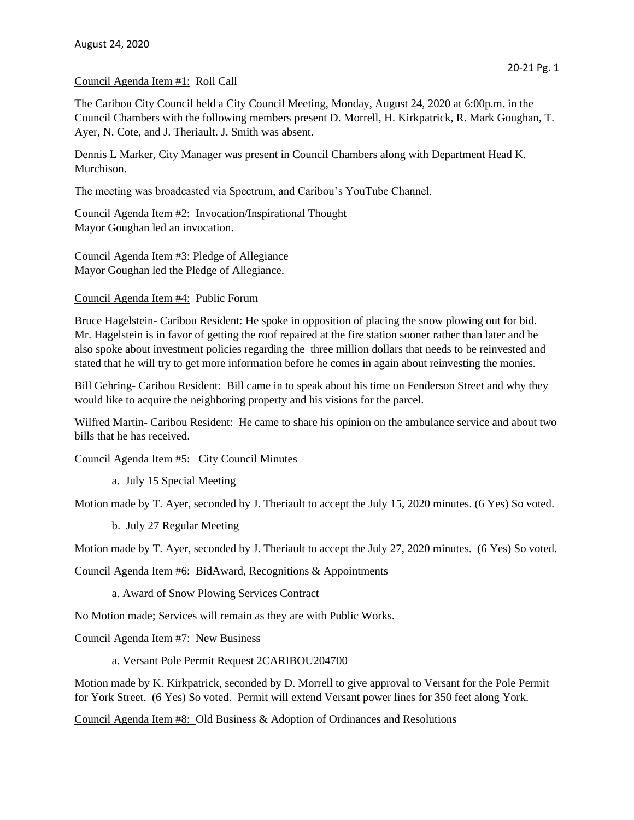## Council Agenda Item #1: Roll Call

The Caribou City Council held a City Council Meeting, Monday, August 24, 2020 at 6:00p.m. in the Council Chambers with the following members present D. Morrell, H. Kirkpatrick, R. Mark Goughan, T. Ayer, N. Cote, and J. Theriault. J. Smith was absent.

Dennis L Marker, City Manager was present in Council Chambers along with Department Head K. Murchison.

The meeting was broadcasted via Spectrum, and Caribou's YouTube Channel.

Council Agenda Item #2: Invocation/Inspirational Thought Mayor Goughan led an invocation.

Council Agenda Item #3: Pledge of Allegiance Mayor Goughan led the Pledge of Allegiance.

Council Agenda Item #4: Public Forum

Bruce Hagelstein- Caribou Resident: He spoke in opposition of placing the snow plowing out for bid. Mr. Hagelstein is in favor of getting the roof repaired at the fire station sooner rather than later and he also spoke about investment policies regarding the three million dollars that needs to be reinvested and stated that he will try to get more information before he comes in again about reinvesting the monies.

Bill Gehring- Caribou Resident: Bill came in to speak about his time on Fenderson Street and why they would like to acquire the neighboring property and his visions for the parcel.

Wilfred Martin- Caribou Resident: He came to share his opinion on the ambulance service and about two bills that he has received.

Council Agenda Item #5: City Council Minutes

a. July 15 Special Meeting

Motion made by T. Ayer, seconded by J. Theriault to accept the July 15, 2020 minutes. (6 Yes) So voted.

b. July 27 Regular Meeting

Motion made by T. Ayer, seconded by J. Theriault to accept the July 27, 2020 minutes. (6 Yes) So voted.

Council Agenda Item #6: BidAward, Recognitions & Appointments

a. Award of Snow Plowing Services Contract

No Motion made; Services will remain as they are with Public Works.

Council Agenda Item #7: New Business

a. Versant Pole Permit Request 2CARIBOU204700

Motion made by K. Kirkpatrick, seconded by D. Morrell to give approval to Versant for the Pole Permit for York Street. (6 Yes) So voted. Permit will extend Versant power lines for 350 feet along York.

Council Agenda Item #8: Old Business & Adoption of Ordinances and Resolutions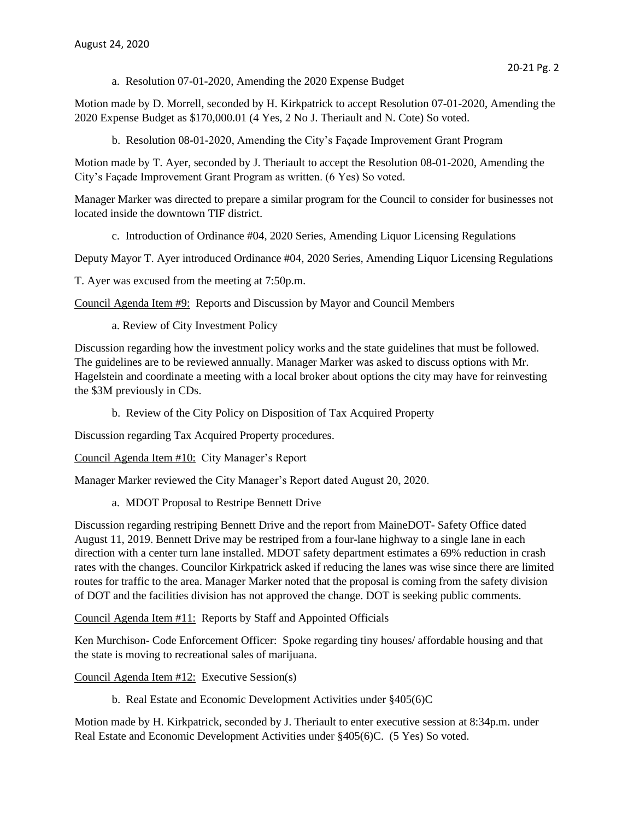a. Resolution 07-01-2020, Amending the 2020 Expense Budget

Motion made by D. Morrell, seconded by H. Kirkpatrick to accept Resolution 07-01-2020, Amending the 2020 Expense Budget as \$170,000.01 (4 Yes, 2 No J. Theriault and N. Cote) So voted.

b. Resolution 08-01-2020, Amending the City's Façade Improvement Grant Program

Motion made by T. Ayer, seconded by J. Theriault to accept the Resolution 08-01-2020, Amending the City's Façade Improvement Grant Program as written. (6 Yes) So voted.

Manager Marker was directed to prepare a similar program for the Council to consider for businesses not located inside the downtown TIF district.

c. Introduction of Ordinance #04, 2020 Series, Amending Liquor Licensing Regulations

Deputy Mayor T. Ayer introduced Ordinance #04, 2020 Series, Amending Liquor Licensing Regulations

T. Ayer was excused from the meeting at 7:50p.m.

Council Agenda Item #9: Reports and Discussion by Mayor and Council Members

a. Review of City Investment Policy

Discussion regarding how the investment policy works and the state guidelines that must be followed. The guidelines are to be reviewed annually. Manager Marker was asked to discuss options with Mr. Hagelstein and coordinate a meeting with a local broker about options the city may have for reinvesting the \$3M previously in CDs.

b. Review of the City Policy on Disposition of Tax Acquired Property

Discussion regarding Tax Acquired Property procedures.

Council Agenda Item #10: City Manager's Report

Manager Marker reviewed the City Manager's Report dated August 20, 2020.

a. MDOT Proposal to Restripe Bennett Drive

Discussion regarding restriping Bennett Drive and the report from MaineDOT- Safety Office dated August 11, 2019. Bennett Drive may be restriped from a four-lane highway to a single lane in each direction with a center turn lane installed. MDOT safety department estimates a 69% reduction in crash rates with the changes. Councilor Kirkpatrick asked if reducing the lanes was wise since there are limited routes for traffic to the area. Manager Marker noted that the proposal is coming from the safety division of DOT and the facilities division has not approved the change. DOT is seeking public comments.

Council Agenda Item #11: Reports by Staff and Appointed Officials

Ken Murchison- Code Enforcement Officer: Spoke regarding tiny houses/ affordable housing and that the state is moving to recreational sales of marijuana.

Council Agenda Item #12: Executive Session(s)

b. Real Estate and Economic Development Activities under §405(6)C

Motion made by H. Kirkpatrick, seconded by J. Theriault to enter executive session at 8:34p.m. under Real Estate and Economic Development Activities under §405(6)C. (5 Yes) So voted.